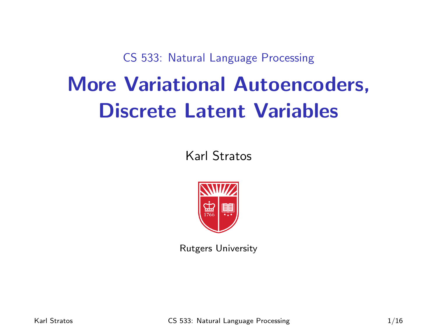CS 533: Natural Language Processing

# More Variational Autoencoders, Discrete Latent Variables

Karl Stratos



Rutgers University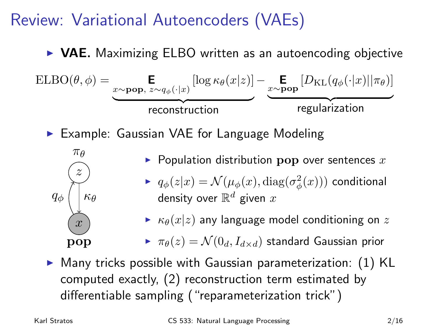# Review: Variational Autoencoders (VAEs)

#### $\triangleright$  VAE. Maximizing ELBO written as an autoencoding objective

ELBO(θ, φ) = 
$$
\underbrace{\mathbf{E}}_{x \sim \mathbf{pop}, z \sim q_{\phi}(\cdot | x)} [\log \kappa_{\theta}(x | z)] - \underbrace{\mathbf{E}}_{x \sim \mathbf{pop}} [D_{\text{KL}}(q_{\phi}(\cdot | x) || \pi_{\theta})]
$$
  
reconstruction  
regularization  
Medeling

<sup>I</sup> Example: Gaussian VAE for Language Modeling



- $\blacktriangleright$  Population distribution pop over sentences  $x$
- $\blacktriangleright \ \ q_\phi(z|x) = \mathcal{N}(\mu_\phi(x), \text{diag}(\sigma^2_\phi(x)))$  conditional density over  $\mathbb{R}^d$  given  $x$
- $\triangleright$   $\kappa_{\theta}(x|z)$  any language model conditioning on z

 $\blacktriangleright \pi_{\theta}(z) = \mathcal{N}(0_d, I_{d \times d})$  standard Gaussian prior

 $\triangleright$  Many tricks possible with Gaussian parameterization: (1) KL computed exactly, (2) reconstruction term estimated by differentiable sampling ("reparameterization trick")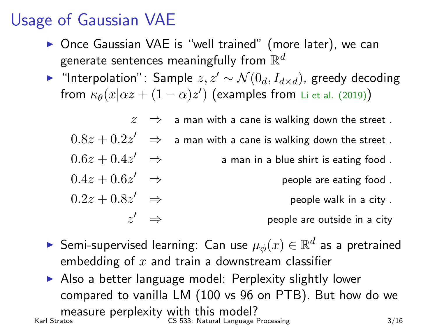# Usage of Gaussian VAE

- ▶ Once Gaussian VAE is "well trained" (more later), we can generate sentences meaningfully from  $\mathbb{R}^d$
- $\triangleright$  "Interpolation": Sample  $z, z' \sim \mathcal{N}(0_d, I_{d\times d})$ , greedy decoding from  $\kappa_{\theta}(x|\alpha z+(1-\alpha)z')$  (examples from Li et al. (2019))

 $z \Rightarrow$  a man with a cane is walking down the street.  $0.8z + 0.2z'$   $\Rightarrow$  a man with a cane is walking down the street .  $0.6z + 0.4z' \Rightarrow$ a man in a blue shirt is eating food.  $0.4z + 0.6z' \Rightarrow$ people are eating food.

 $0.2z + 0.8z' \Rightarrow$ people walk in a city.  $z' \Rightarrow$ 

people are outside in a city

- ► Semi-supervised learning: Can use  $\mu_{\phi}(x) \in \mathbb{R}^d$  as a pretrained embedding of  $x$  and train a downstream classifier
- $\triangleright$  Also a better language model: Perplexity slightly lower compared to vanilla LM (100 vs 96 on PTB). But how do we measure perplexity with this model?  $CS$  533: Natural Language Processing  $3/16$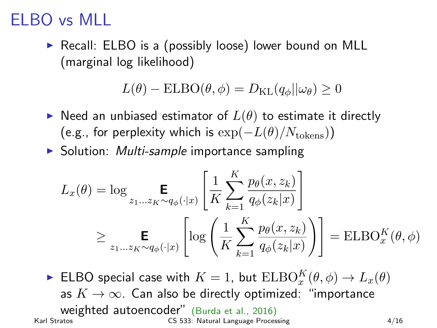# ELBO vs MLI

 $\triangleright$  Recall: ELBO is a (possibly loose) lower bound on MLL (marginal log likelihood)

$$
L(\theta) - ELBO(\theta, \phi) = D_{\text{KL}}(q_{\phi} || \omega_{\theta}) \ge 0
$$

- $\triangleright$  Need an unbiased estimator of  $L(\theta)$  to estimate it directly (e.g., for perplexity which is  $\exp(-L(\theta)/N_{\text{tokens}})$ )
- $\triangleright$  Solution: *Multi-sample* importance sampling

$$
L_x(\theta) = \log \mathbf{E}_{z_1...z_K \sim q_{\phi}(\cdot|x)} \left[ \frac{1}{K} \sum_{k=1}^K \frac{p_{\theta}(x, z_k)}{q_{\phi}(z_k|x)} \right]
$$
  

$$
\geq \mathbf{E}_{z_1...z_K \sim q_{\phi}(\cdot|x)} \left[ \log \left( \frac{1}{K} \sum_{k=1}^K \frac{p_{\theta}(x, z_k)}{q_{\phi}(z_k|x)} \right) \right] = \text{ELBO}_x^K(\theta, \phi)
$$

ELBO special case with  $K = 1$ , but  $ELBO_x^K(\theta, \phi) \to L_x(\theta)$ as  $K \to \infty$ . Can also be directly optimized: "importance Weighted autoencoder" (Burda et al., 2016)<br>Karl Stratos CS 533: Natural Language Proces CS 533: Natural Language Processing 4/16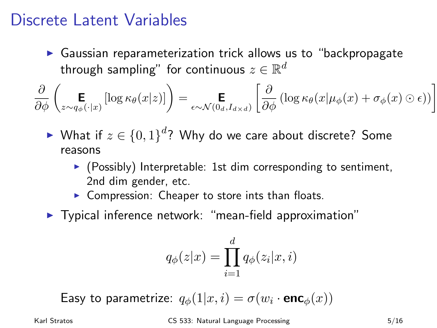#### Discrete Latent Variables

 $\triangleright$  Gaussian reparameterization trick allows us to "backpropagate through sampling" for continuous  $z \in \mathbb{R}^d$ 

$$
\frac{\partial}{\partial \phi} \left( \underset{z \sim q_{\phi}(\cdot | x)}{\mathbf{E}} \left[ \log \kappa_{\theta}(x | z) \right] \right) = \underset{\epsilon \sim \mathcal{N}(0_{d}, I_{d \times d})}{\mathbf{E}} \left[ \frac{\partial}{\partial \phi} \left( \log \kappa_{\theta}(x | \mu_{\phi}(x) + \sigma_{\phi}(x) \odot \epsilon) \right) \right]
$$

- ► What if  $z \in \{0,1\}^d$ ? Why do we care about discrete? Some reasons
	- $\triangleright$  (Possibly) Interpretable: 1st dim corresponding to sentiment, 2nd dim gender, etc.
	- $\triangleright$  Compression: Cheaper to store ints than floats.
- $\blacktriangleright$  Typical inference network: "mean-field approximation"

$$
q_{\phi}(z|x) = \prod_{i=1}^d q_{\phi}(z_i|x, i)
$$

Easy to parametrize:  $q_{\phi}(1|x,i) = \sigma(w_i \cdot \mathbf{enc}_{\phi}(x))$ 

Karl Stratos **CS 533: Natural Language Processing** 5/16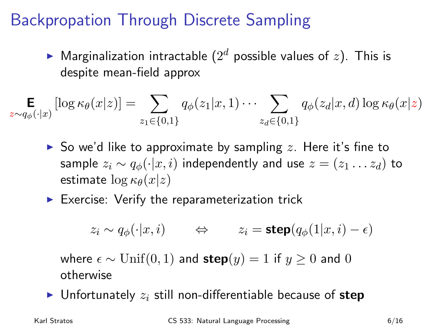### Backpropation Through Discrete Sampling

 $\blacktriangleright$  Marginalization intractable  $(2^d$  possible values of  $z)$ . This is despite mean-field approx

$$
\mathop{\mathbf{E}}_{z \sim q_{\phi}(\cdot | x)} [\log \kappa_{\theta}(x | z)] = \sum_{z_1 \in \{0, 1\}} q_{\phi}(z_1 | x, 1) \cdots \sum_{z_d \in \{0, 1\}} q_{\phi}(z_d | x, d) \log \kappa_{\theta}(x | z)
$$

- So we'd like to approximate by sampling z. Here it's fine to sample  $z_i \sim q_\phi(\cdot|x, i)$  independently and use  $z = (z_1 \dots z_d)$  to estimate  $\log \kappa_{\theta}(x|z)$
- $\blacktriangleright$  Exercise: Verify the reparameterization trick

$$
z_i \sim q_\phi(\cdot | x, i)
$$
  $\Leftrightarrow$   $z_i = \text{step}(q_\phi(1 | x, i) - \epsilon)$ 

where  $\epsilon \sim \text{Unif}(0, 1)$  and  $\text{step}(y) = 1$  if  $y > 0$  and 0 otherwise

Infortunately  $z_i$  still non-differentiable because of step

Karl Stratos CS 533: Natural Language Processing 6/16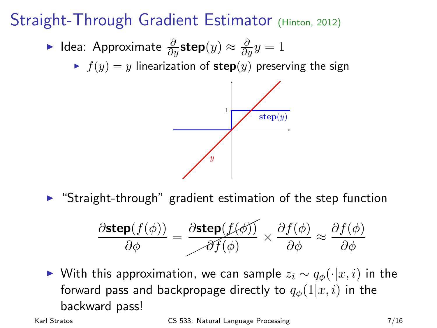# Straight-Through Gradient Estimator (Hinton, 2012)

- ► Idea: Approximate  $\frac{\partial}{\partial y}$ step $(y) \approx \frac{\partial}{\partial y} y = 1$ 
	- $\blacktriangleright$   $f(y) = y$  linearization of step $(y)$  preserving the sign



 $\triangleright$  "Straight-through" gradient estimation of the step function

$$
\frac{\partial \text{step}(f(\phi))}{\partial \phi} = \frac{\partial \text{step}(f(\phi))}{\partial f(\phi)} \times \frac{\partial f(\phi)}{\partial \phi} \approx \frac{\partial f(\phi)}{\partial \phi}
$$

► With this approximation, we can sample  $z_i \sim q_\phi(\cdot|x, i)$  in the forward pass and backpropage directly to  $q_{\phi}(1|x, i)$  in the backward pass!

Karl Stratos CS 533: Natural Language Processing 7/16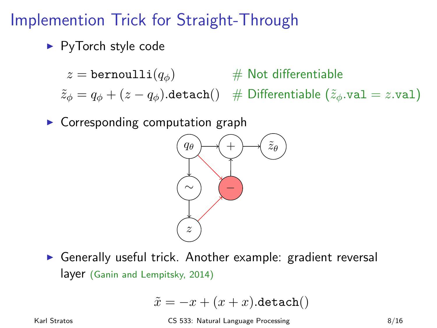### Implemention Trick for Straight-Through

 $\blacktriangleright$  PyTorch style code

 $z = \text{bernoulli}(q_{\phi})$  # Not differentiable

 $\tilde{z}_\phi = q_\phi + (z - q_\phi)$ .detach $()$  # Differentiable  $(\tilde{z}_\phi \cdot \text{val} = z \cdot \text{val})$ 

 $\triangleright$  Corresponding computation graph



 $\triangleright$  Generally useful trick. Another example: gradient reversal layer (Ganin and Lempitsky, 2014)

$$
\tilde{x} = -x + (x + x). \mathtt{detach}()
$$

Karl Stratos **CS 533: Natural Language Processing** 8/16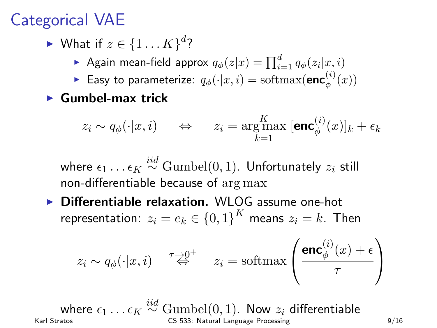### Categorical VAE

- ► What if  $z \in \{1...K\}^d$ ?
	- Again mean-field approx  $q_{\phi}(z|x) = \prod_{i=1}^{d} q_{\phi}(z_i|x, i)$
	- ► Easy to parameterize:  $q_{\phi}(\cdot|x,i) = \text{softmax}(\mathbf{enc}_{\phi}^{(i)})$  $\binom{v}{\phi}(x)$
- $\blacktriangleright$  Gumbel-max trick

$$
z_i \sim q_{\phi}(\cdot|x, i) \quad \Leftrightarrow \quad z_i = \underset{k=1}{\arg\max} \ [\textbf{enc}^{(i)}_{\phi}(x)]_k + \epsilon_k
$$

where  $\epsilon_1 \dots \epsilon_K \stackrel{iid}{\sim} \text{Gumbel}(0,1)$ . Unfortunately  $z_i$  still non-differentiable because of arg max

 $\triangleright$  Differentiable relaxation. WLOG assume one-hot representation:  $z_i = e_k \in \{0,1\}^K$  means  $z_i = k$ . Then

$$
z_i \sim q_\phi(\cdot|x, i)
$$
  $\stackrel{\tau \to 0^+}{\Leftrightarrow} \quad z_i = \text{softmax}\left(\frac{\text{enc}^{(i)}_\phi(x) + \epsilon}{\tau}\right)$ 

where  $\epsilon_1 \dots \epsilon_K \stackrel{iid}{\sim} \text{Gumbel}(0, 1)$ . Now  $z_i$  differentiable Karl Stratos CS 533: Natural Language Processing 9/16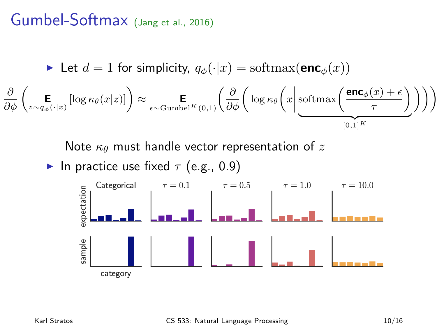#### Gumbel-Softmax (Jang et al., 2016)

$$
\blacktriangleright \text{ Let } d = 1 \text{ for simplicity, } q_{\phi}(\cdot | x) = \text{softmax}(\mathbf{enc}_{\phi}(x))
$$
\n
$$
\frac{\partial}{\partial \phi} \left( \underset{z \sim q_{\phi}(\cdot | x)}{\mathbf{E}} \left[ \log \kappa_{\theta}(x | z) \right] \right) \approx \underset{\epsilon \sim \text{Gumbel}^{K}(0, 1)}{\mathbf{E}} \left( \frac{\partial}{\partial \phi} \left( \log \kappa_{\theta} \left( x \middle| \frac{\text{softmax}\left(\frac{\text{enc}_{\phi}(x) + \epsilon}{\tau}\right)}{\sum_{[0, 1]^{K}} p_{\phi}(x | z)} \right) \right) \right)
$$

Note  $\kappa_{\theta}$  must handle vector representation of z

▶ In practice use fixed 
$$
\tau
$$
 (e.g., 0.9)

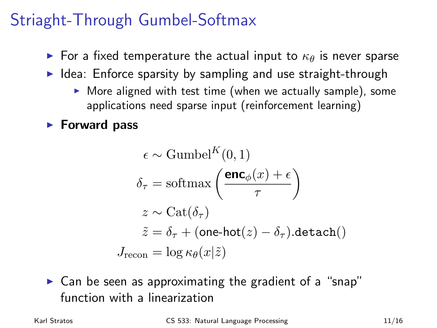### Striaght-Through Gumbel-Softmax

- For a fixed temperature the actual input to  $\kappa_{\theta}$  is never sparse
- $\blacktriangleright$  Idea: Enforce sparsity by sampling and use straight-through
	- $\triangleright$  More aligned with test time (when we actually sample), some applications need sparse input (reinforcement learning)

#### $\blacktriangleright$  Forward pass

$$
\epsilon \sim \text{Gumbel}^{K}(0, 1)
$$

$$
\delta_{\tau} = \text{softmax}\left(\frac{\mathbf{enc}_{\phi}(x) + \epsilon}{\tau}\right)
$$

$$
z \sim \text{Cat}(\delta_{\tau})
$$

$$
\tilde{z} = \delta_{\tau} + (\text{one-hot}(z) - \delta_{\tau}).\text{detach}()
$$

$$
J_{\text{recon}} = \log \kappa_{\theta}(x|\tilde{z})
$$

 $\triangleright$  Can be seen as approximating the gradient of a "snap" function with a linearization

Karl Stratos **CS 533:** Natural Language Processing **11/16**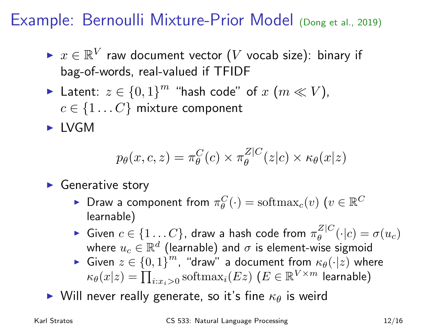Example: Bernoulli Mixture-Prior Model (Dong et al., 2019)

- ►  $x \in \mathbb{R}^V$  raw document vector (*V* vocab size): binary if bag-of-words, real-valued if TFIDF
- ► Latent:  $z \in \{0,1\}^m$  "hash code" of  $x \ (m \ll V)$ ,  $c \in \{1 \dots C\}$  mixture component

 $\blacktriangleright$  IVGM

$$
p_{\theta}(x, c, z) = \pi_{\theta}^{C}(c) \times \pi_{\theta}^{Z|C}(z|c) \times \kappa_{\theta}(x|z)
$$

 $\blacktriangleright$  Generative story

- ► Draw a component from  $\pi_{\theta}^{C}(\cdot) = \text{softmax}_{c}(v)$   $(v \in \mathbb{R}^{C})$ learnable)
- ► Given  $c \in \{1...C\}$ , draw a hash code from  $\pi_{\theta}^{Z|C}$  $\theta$ <sup>L</sup> $\theta$ <sup>(-|c)</sup> =  $\sigma(u_c)$ where  $u_c \in \mathbb{R}^d$  (learnable) and  $\sigma$  is element-wise sigmoid
- ► Given  $z \in \{0,1\}^m$ , "draw" a document from  $\kappa_{\theta}(\cdot|z)$  where  $\kappa_{\theta}(x|z) = \prod_{i:x_i>0} \text{softmax}_i(Ez)$   $(E \in \mathbb{R}^{V \times m}$  learnable)
- $\triangleright$  Will never really generate, so it's fine  $\kappa_{\theta}$  is weird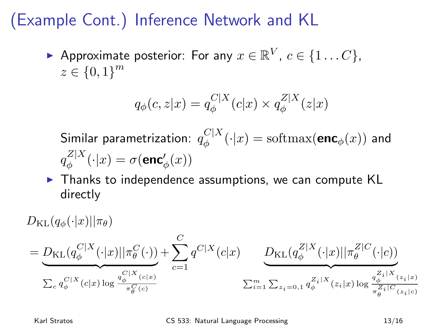### (Example Cont.) Inference Network and KL

Approximate posterior: For any  $x \in \mathbb{R}^V$ ,  $c \in \{1...C\}$ ,  $z \in \{0,1\}^m$ 

$$
q_{\phi}(c, z|x) = q_{\phi}^{C|X}(c|x) \times q_{\phi}^{Z|X}(z|x)
$$

Similar parametrization:  $q^{C|X}_{\phi}$  $\int_{\phi}^{\mathcal{C}} |A'(x)| = \text{softmax}(\mathsf{enc}_{\phi}(x))$  and  $q_\phi^{Z|X}$  $\phi_{\phi}^{Z|X}(\cdot|x) = \sigma(\mathsf{enc}'_{\phi}(x))$ 

 $\triangleright$  Thanks to independence assumptions, we can compute KL directly

 $D_{\text{KL}}(q_{\phi}(\cdot|x)||\pi_{\theta})$  $= D_{\mathrm{KL}} (q_{\phi}^{C|X}$  $\frac{C|X}{\phi}(\cdot|x)||\pi_\theta^C(\cdot))$  ${C|X}_{(c|x)}$  $\sum_c q_{\phi}^{C|X}(c|x) \log \frac{q_{\phi}^{C|X}(c|x)}{\pi^C(C)}$  $\pi_{\theta}^C(c)$  $+\sum_{i=1}^C$  $c=1$  $q^{C|X}(c|x)$   $D_{\mathrm{KL}}(q_{\phi}^{Z|X})$  $\frac{Z|X}{\phi}(\cdot|x)||\pi_{\theta}^{Z|C}$  $e^{\omega|\mathcal{C}(\cdot|c))}$  $\overline{z_i|x}$  $\sum_{i=1}^{m} \sum_{z_i=0,1} \frac{Z_i|X}{q_{\phi}^2} (z_i|x) \log \frac{q_{\phi}^{Z_i|X}(z_i|x)}{\pi Z_i|C_{(z_i,|c_i|)}}$  $\pi_{\theta}^{Z_i|C}(z_i|c)$ 

Karl Stratos CS 533: Natural Language Processing 13/16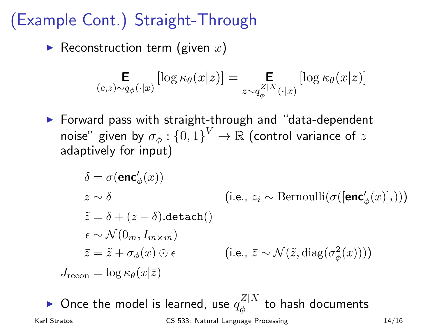# (Example Cont.) Straight-Through

Reconstruction term (given x)

$$
\mathop{\mathbf{E}}_{(c,z)\sim q_{\phi}(\cdot|x)}\left[\log \kappa_{\theta}(x|z)\right] = \mathop{\mathbf{E}}_{z\sim q_{\phi}^{Z|X}(\cdot|x)}\left[\log \kappa_{\theta}(x|z)\right]
$$

 $\triangleright$  Forward pass with straight-through and "data-dependent" noise" given by  $\sigma_{\phi} : \{0,1\}^{V} \to \mathbb{R}$  (control variance of  $z$ adaptively for input)

$$
\delta = \sigma(\mathbf{enc}'_{\phi}(x))
$$
\n
$$
z \sim \delta
$$
\n(i.e.,  $z_i \sim \text{Bernoulli}(\sigma([\mathbf{enc}'_{\phi}(x)]_i)))$ \n
$$
\tilde{z} = \delta + (z - \delta). \text{detach}()
$$
\n
$$
\epsilon \sim \mathcal{N}(0_m, I_{m \times m})
$$
\n
$$
\bar{z} = \tilde{z} + \sigma_{\phi}(x) \odot \epsilon
$$
\n(i.e.,  $\bar{z} \sim \mathcal{N}(\tilde{z}, \text{diag}(\sigma_{\phi}^2(x))))$ \n
$$
J_{\text{recon}} = \log \kappa_{\theta}(x|\bar{z})
$$

 $\blacktriangleright$  Once the model is learned, use  $q_\phi^{Z|X}$  $\frac{z}{\phi}$  to hash documents Karl Stratos **CS 533:** Natural Language Processing 14/16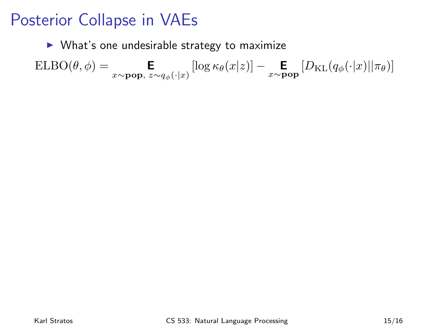#### Posterior Collapse in VAEs

 $\triangleright$  What's one undesirable strategy to maximize

$$
\mathrm{ELBO}(\theta, \phi) = \mathop{\mathbf{E}}_{x \sim \mathbf{pop}, \; z \sim q_\phi(\cdot|x)} \left[ \log \kappa_\theta(x|z) \right] - \mathop{\mathbf{E}}_{x \sim \mathbf{pop}} \left[ D_{\mathrm{KL}}(q_\phi(\cdot|x) || \pi_\theta) \right]
$$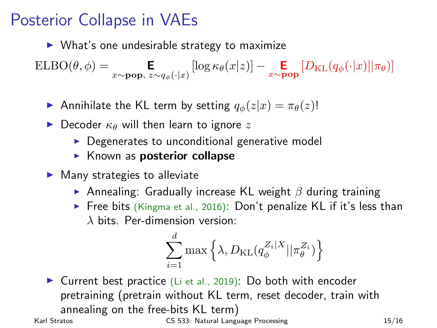### Posterior Collapse in VAEs

 $\triangleright$  What's one undesirable strategy to maximize

 $\text{ELBO}(\theta, \phi) = \mathop{\mathbf{E}}_{x \sim \textbf{pop}, z \sim q_{\phi}(\cdot | x)} \left[ \log \kappa_{\theta}(x | z) \right] - \mathop{\mathbf{E}}_{x \sim \textbf{pop}} \left[ D_{\text{KL}}(q_{\phi}(\cdot | x) || \pi_{\theta}) \right]$ 

Annihilate the KL term by setting  $q_{\phi}(z|x) = \pi_{\theta}(z)!$ 

- Decoder  $\kappa_{\theta}$  will then learn to ignore z
	- $\triangleright$  Degenerates to unconditional generative model
	- $\blacktriangleright$  Known as **posterior collapse**
- $\blacktriangleright$  Many strategies to alleviate
	- Annealing: Gradually increase KL weight  $\beta$  during training
	- Free bits (Kingma et al., 2016): Don't penalize KL if it's less than  $\lambda$  bits. Per-dimension version:

$$
\sum_{i=1}^d \max\left\{\lambda, D_{\text{KL}}(q^{Z_i|X}_{\phi}||\pi^{Z_i}_{\theta})\right\}
$$

 $\triangleright$  Current best practice (Li et al., 2019): Do both with encoder pretraining (pretrain without KL term, reset decoder, train with annealing on the free-bits KL term) Karl Stratos **CS 533:** Natural Language Processing 15/16